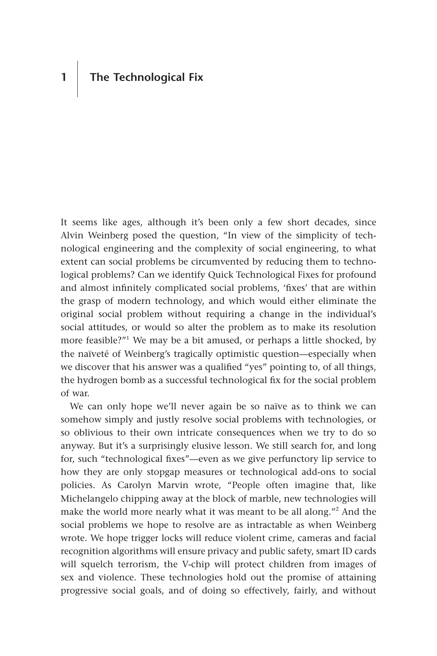# **1 The Technological Fix**

It seems like ages, although it's been only a few short decades, since Alvin Weinberg posed the question, "In view of the simplicity of technological engineering and the complexity of social engineering, to what extent can social problems be circumvented by reducing them to technological problems? Can we identify Quick Technological Fixes for profound and almost infinitely complicated social problems, 'fixes' that are within the grasp of modern technology, and which would either eliminate the original social problem without requiring a change in the individual's social attitudes, or would so alter the problem as to make its resolution more feasible?"1 We may be a bit amused, or perhaps a little shocked, by the naïveté of Weinberg's tragically optimistic question—especially when we discover that his answer was a qualified "yes" pointing to, of all things, the hydrogen bomb as a successful technological fix for the social problem of war.

We can only hope we'll never again be so naïve as to think we can somehow simply and justly resolve social problems with technologies, or so oblivious to their own intricate consequences when we try to do so anyway. But it's a surprisingly elusive lesson. We still search for, and long for, such "technological fixes"—even as we give perfunctory lip service to how they are only stopgap measures or technological add-ons to social policies. As Carolyn Marvin wrote, "People often imagine that, like Michelangelo chipping away at the block of marble, new technologies will make the world more nearly what it was meant to be all along."2 And the social problems we hope to resolve are as intractable as when Weinberg wrote. We hope trigger locks will reduce violent crime, cameras and facial recognition algorithms will ensure privacy and public safety, smart ID cards will squelch terrorism, the V-chip will protect children from images of sex and violence. These technologies hold out the promise of attaining progressive social goals, and of doing so effectively, fairly, and without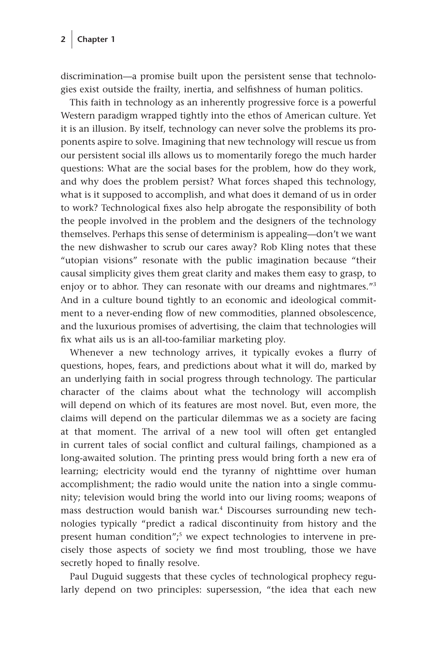discrimination—a promise built upon the persistent sense that technologies exist outside the frailty, inertia, and selfishness of human politics.

This faith in technology as an inherently progressive force is a powerful Western paradigm wrapped tightly into the ethos of American culture. Yet it is an illusion. By itself, technology can never solve the problems its proponents aspire to solve. Imagining that new technology will rescue us from our persistent social ills allows us to momentarily forego the much harder questions: What are the social bases for the problem, how do they work, and why does the problem persist? What forces shaped this technology, what is it supposed to accomplish, and what does it demand of us in order to work? Technological fixes also help abrogate the responsibility of both the people involved in the problem and the designers of the technology themselves. Perhaps this sense of determinism is appealing—don't we want the new dishwasher to scrub our cares away? Rob Kling notes that these "utopian visions" resonate with the public imagination because "their causal simplicity gives them great clarity and makes them easy to grasp, to enjoy or to abhor. They can resonate with our dreams and nightmares."<sup>3</sup> And in a culture bound tightly to an economic and ideological commitment to a never-ending flow of new commodities, planned obsolescence, and the luxurious promises of advertising, the claim that technologies will fix what ails us is an all-too-familiar marketing ploy.

Whenever a new technology arrives, it typically evokes a flurry of questions, hopes, fears, and predictions about what it will do, marked by an underlying faith in social progress through technology. The particular character of the claims about what the technology will accomplish will depend on which of its features are most novel. But, even more, the claims will depend on the particular dilemmas we as a society are facing at that moment. The arrival of a new tool will often get entangled in current tales of social conflict and cultural failings, championed as a long-awaited solution. The printing press would bring forth a new era of learning; electricity would end the tyranny of nighttime over human accomplishment; the radio would unite the nation into a single community; television would bring the world into our living rooms; weapons of mass destruction would banish war.4 Discourses surrounding new technologies typically "predict a radical discontinuity from history and the present human condition";<sup>5</sup> we expect technologies to intervene in precisely those aspects of society we find most troubling, those we have secretly hoped to finally resolve.

Paul Duguid suggests that these cycles of technological prophecy regularly depend on two principles: supersession, "the idea that each new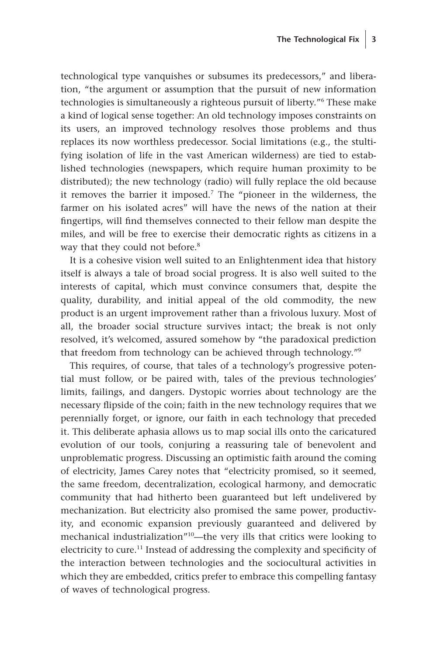technological type vanquishes or subsumes its predecessors," and liberation, "the argument or assumption that the pursuit of new information technologies is simultaneously a righteous pursuit of liberty."6 These make a kind of logical sense together: An old technology imposes constraints on its users, an improved technology resolves those problems and thus replaces its now worthless predecessor. Social limitations (e.g., the stultifying isolation of life in the vast American wilderness) are tied to established technologies (newspapers, which require human proximity to be distributed); the new technology (radio) will fully replace the old because it removes the barrier it imposed.<sup>7</sup> The "pioneer in the wilderness, the farmer on his isolated acres" will have the news of the nation at their fingertips, will find themselves connected to their fellow man despite the miles, and will be free to exercise their democratic rights as citizens in a way that they could not before.<sup>8</sup>

It is a cohesive vision well suited to an Enlightenment idea that history itself is always a tale of broad social progress. It is also well suited to the interests of capital, which must convince consumers that, despite the quality, durability, and initial appeal of the old commodity, the new product is an urgent improvement rather than a frivolous luxury. Most of all, the broader social structure survives intact; the break is not only resolved, it's welcomed, assured somehow by "the paradoxical prediction that freedom from technology can be achieved through technology."9

This requires, of course, that tales of a technology's progressive potential must follow, or be paired with, tales of the previous technologies' limits, failings, and dangers. Dystopic worries about technology are the necessary flipside of the coin; faith in the new technology requires that we perennially forget, or ignore, our faith in each technology that preceded it. This deliberate aphasia allows us to map social ills onto the caricatured evolution of our tools, conjuring a reassuring tale of benevolent and unproblematic progress. Discussing an optimistic faith around the coming of electricity, James Carey notes that "electricity promised, so it seemed, the same freedom, decentralization, ecological harmony, and democratic community that had hitherto been guaranteed but left undelivered by mechanization. But electricity also promised the same power, productivity, and economic expansion previously guaranteed and delivered by mechanical industrialization"10—the very ills that critics were looking to electricity to cure.<sup>11</sup> Instead of addressing the complexity and specificity of the interaction between technologies and the sociocultural activities in which they are embedded, critics prefer to embrace this compelling fantasy of waves of technological progress.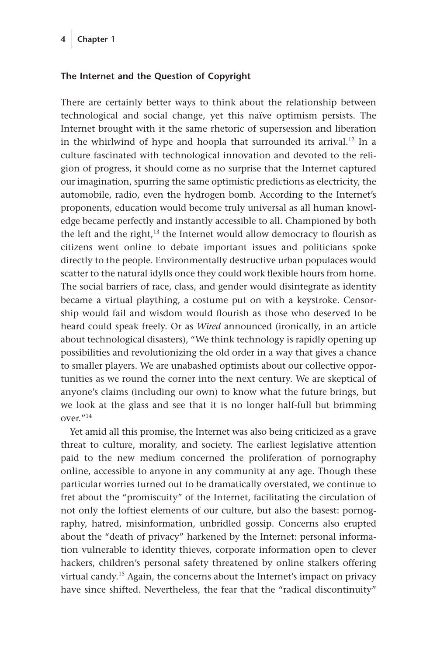## **The Internet and the Question of Copyright**

There are certainly better ways to think about the relationship between technological and social change, yet this naïve optimism persists. The Internet brought with it the same rhetoric of supersession and liberation in the whirlwind of hype and hoopla that surrounded its arrival.<sup>12</sup> In a culture fascinated with technological innovation and devoted to the religion of progress, it should come as no surprise that the Internet captured our imagination, spurring the same optimistic predictions as electricity, the automobile, radio, even the hydrogen bomb. According to the Internet's proponents, education would become truly universal as all human knowledge became perfectly and instantly accessible to all. Championed by both the left and the right, $13$  the Internet would allow democracy to flourish as citizens went online to debate important issues and politicians spoke directly to the people. Environmentally destructive urban populaces would scatter to the natural idylls once they could work flexible hours from home. The social barriers of race, class, and gender would disintegrate as identity became a virtual plaything, a costume put on with a keystroke. Censorship would fail and wisdom would flourish as those who deserved to be heard could speak freely. Or as *Wired* announced (ironically, in an article about technological disasters), "We think technology is rapidly opening up possibilities and revolutionizing the old order in a way that gives a chance to smaller players. We are unabashed optimists about our collective opportunities as we round the corner into the next century. We are skeptical of anyone's claims (including our own) to know what the future brings, but we look at the glass and see that it is no longer half-full but brimming over."14

Yet amid all this promise, the Internet was also being criticized as a grave threat to culture, morality, and society. The earliest legislative attention paid to the new medium concerned the proliferation of pornography online, accessible to anyone in any community at any age. Though these particular worries turned out to be dramatically overstated, we continue to fret about the "promiscuity" of the Internet, facilitating the circulation of not only the loftiest elements of our culture, but also the basest: pornography, hatred, misinformation, unbridled gossip. Concerns also erupted about the "death of privacy" harkened by the Internet: personal information vulnerable to identity thieves, corporate information open to clever hackers, children's personal safety threatened by online stalkers offering virtual candy.<sup>15</sup> Again, the concerns about the Internet's impact on privacy have since shifted. Nevertheless, the fear that the "radical discontinuity"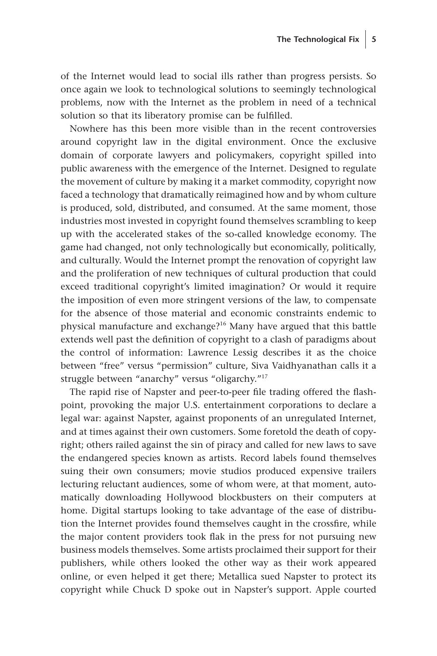of the Internet would lead to social ills rather than progress persists. So once again we look to technological solutions to seemingly technological problems, now with the Internet as the problem in need of a technical solution so that its liberatory promise can be fulfilled.

Nowhere has this been more visible than in the recent controversies around copyright law in the digital environment. Once the exclusive domain of corporate lawyers and policymakers, copyright spilled into public awareness with the emergence of the Internet. Designed to regulate the movement of culture by making it a market commodity, copyright now faced a technology that dramatically reimagined how and by whom culture is produced, sold, distributed, and consumed. At the same moment, those industries most invested in copyright found themselves scrambling to keep up with the accelerated stakes of the so-called knowledge economy. The game had changed, not only technologically but economically, politically, and culturally. Would the Internet prompt the renovation of copyright law and the proliferation of new techniques of cultural production that could exceed traditional copyright's limited imagination? Or would it require the imposition of even more stringent versions of the law, to compensate for the absence of those material and economic constraints endemic to physical manufacture and exchange?16 Many have argued that this battle extends well past the definition of copyright to a clash of paradigms about the control of information: Lawrence Lessig describes it as the choice between "free" versus "permission" culture, Siva Vaidhyanathan calls it a struggle between "anarchy" versus "oligarchy."17

The rapid rise of Napster and peer-to-peer file trading offered the flashpoint, provoking the major U.S. entertainment corporations to declare a legal war: against Napster, against proponents of an unregulated Internet, and at times against their own customers. Some foretold the death of copyright; others railed against the sin of piracy and called for new laws to save the endangered species known as artists. Record labels found themselves suing their own consumers; movie studios produced expensive trailers lecturing reluctant audiences, some of whom were, at that moment, automatically downloading Hollywood blockbusters on their computers at home. Digital startups looking to take advantage of the ease of distribution the Internet provides found themselves caught in the crossfire, while the major content providers took flak in the press for not pursuing new business models themselves. Some artists proclaimed their support for their publishers, while others looked the other way as their work appeared online, or even helped it get there; Metallica sued Napster to protect its copyright while Chuck D spoke out in Napster's support. Apple courted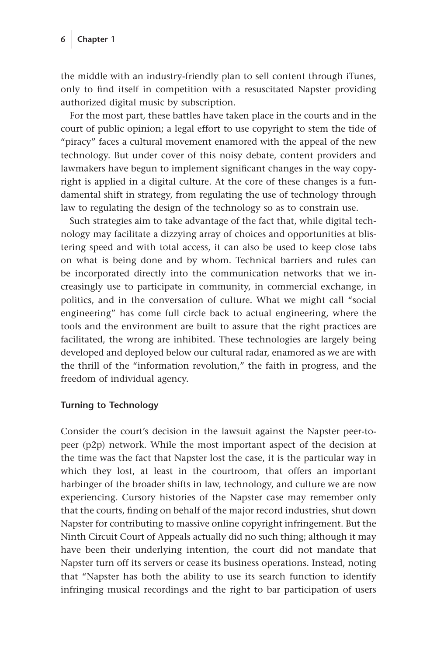the middle with an industry-friendly plan to sell content through iTunes, only to find itself in competition with a resuscitated Napster providing authorized digital music by subscription.

For the most part, these battles have taken place in the courts and in the court of public opinion; a legal effort to use copyright to stem the tide of "piracy" faces a cultural movement enamored with the appeal of the new technology. But under cover of this noisy debate, content providers and lawmakers have begun to implement significant changes in the way copyright is applied in a digital culture. At the core of these changes is a fundamental shift in strategy, from regulating the use of technology through law to regulating the design of the technology so as to constrain use.

Such strategies aim to take advantage of the fact that, while digital technology may facilitate a dizzying array of choices and opportunities at blistering speed and with total access, it can also be used to keep close tabs on what is being done and by whom. Technical barriers and rules can be incorporated directly into the communication networks that we increasingly use to participate in community, in commercial exchange, in politics, and in the conversation of culture. What we might call "social engineering" has come full circle back to actual engineering, where the tools and the environment are built to assure that the right practices are facilitated, the wrong are inhibited. These technologies are largely being developed and deployed below our cultural radar, enamored as we are with the thrill of the "information revolution," the faith in progress, and the freedom of individual agency.

# **Turning to Technology**

Consider the court's decision in the lawsuit against the Napster peer-topeer (p2p) network. While the most important aspect of the decision at the time was the fact that Napster lost the case, it is the particular way in which they lost, at least in the courtroom, that offers an important harbinger of the broader shifts in law, technology, and culture we are now experiencing. Cursory histories of the Napster case may remember only that the courts, finding on behalf of the major record industries, shut down Napster for contributing to massive online copyright infringement. But the Ninth Circuit Court of Appeals actually did no such thing; although it may have been their underlying intention, the court did not mandate that Napster turn off its servers or cease its business operations. Instead, noting that "Napster has both the ability to use its search function to identify infringing musical recordings and the right to bar participation of users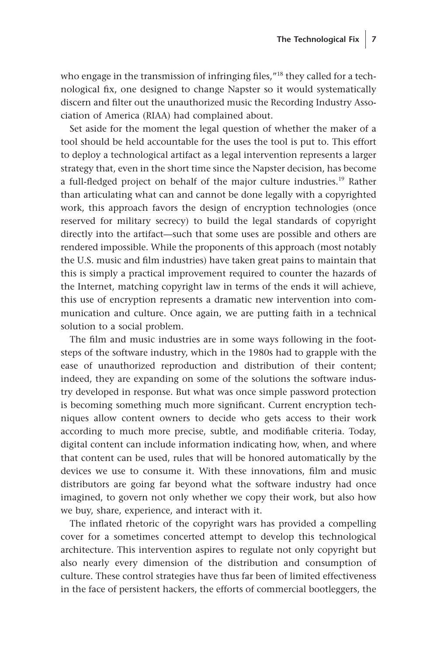who engage in the transmission of infringing files,"<sup>18</sup> they called for a technological fix, one designed to change Napster so it would systematically discern and filter out the unauthorized music the Recording Industry Association of America (RIAA) had complained about.

Set aside for the moment the legal question of whether the maker of a tool should be held accountable for the uses the tool is put to. This effort to deploy a technological artifact as a legal intervention represents a larger strategy that, even in the short time since the Napster decision, has become a full-fledged project on behalf of the major culture industries.19 Rather than articulating what can and cannot be done legally with a copyrighted work, this approach favors the design of encryption technologies (once reserved for military secrecy) to build the legal standards of copyright directly into the artifact—such that some uses are possible and others are rendered impossible. While the proponents of this approach (most notably the U.S. music and film industries) have taken great pains to maintain that this is simply a practical improvement required to counter the hazards of the Internet, matching copyright law in terms of the ends it will achieve, this use of encryption represents a dramatic new intervention into communication and culture. Once again, we are putting faith in a technical solution to a social problem.

The film and music industries are in some ways following in the footsteps of the software industry, which in the 1980s had to grapple with the ease of unauthorized reproduction and distribution of their content; indeed, they are expanding on some of the solutions the software industry developed in response. But what was once simple password protection is becoming something much more significant. Current encryption techniques allow content owners to decide who gets access to their work according to much more precise, subtle, and modifiable criteria. Today, digital content can include information indicating how, when, and where that content can be used, rules that will be honored automatically by the devices we use to consume it. With these innovations, film and music distributors are going far beyond what the software industry had once imagined, to govern not only whether we copy their work, but also how we buy, share, experience, and interact with it.

The inflated rhetoric of the copyright wars has provided a compelling cover for a sometimes concerted attempt to develop this technological architecture. This intervention aspires to regulate not only copyright but also nearly every dimension of the distribution and consumption of culture. These control strategies have thus far been of limited effectiveness in the face of persistent hackers, the efforts of commercial bootleggers, the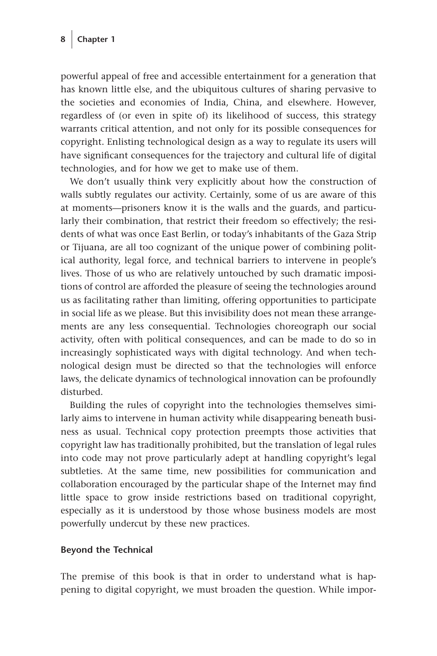powerful appeal of free and accessible entertainment for a generation that has known little else, and the ubiquitous cultures of sharing pervasive to the societies and economies of India, China, and elsewhere. However, regardless of (or even in spite of) its likelihood of success, this strategy warrants critical attention, and not only for its possible consequences for copyright. Enlisting technological design as a way to regulate its users will have significant consequences for the trajectory and cultural life of digital technologies, and for how we get to make use of them.

We don't usually think very explicitly about how the construction of walls subtly regulates our activity. Certainly, some of us are aware of this at moments—prisoners know it is the walls and the guards, and particularly their combination, that restrict their freedom so effectively; the residents of what was once East Berlin, or today's inhabitants of the Gaza Strip or Tijuana, are all too cognizant of the unique power of combining political authority, legal force, and technical barriers to intervene in people's lives. Those of us who are relatively untouched by such dramatic impositions of control are afforded the pleasure of seeing the technologies around us as facilitating rather than limiting, offering opportunities to participate in social life as we please. But this invisibility does not mean these arrangements are any less consequential. Technologies choreograph our social activity, often with political consequences, and can be made to do so in increasingly sophisticated ways with digital technology. And when technological design must be directed so that the technologies will enforce laws, the delicate dynamics of technological innovation can be profoundly disturbed.

Building the rules of copyright into the technologies themselves similarly aims to intervene in human activity while disappearing beneath business as usual. Technical copy protection preempts those activities that copyright law has traditionally prohibited, but the translation of legal rules into code may not prove particularly adept at handling copyright's legal subtleties. At the same time, new possibilities for communication and collaboration encouraged by the particular shape of the Internet may find little space to grow inside restrictions based on traditional copyright, especially as it is understood by those whose business models are most powerfully undercut by these new practices.

#### **Beyond the Technical**

The premise of this book is that in order to understand what is happening to digital copyright, we must broaden the question. While impor-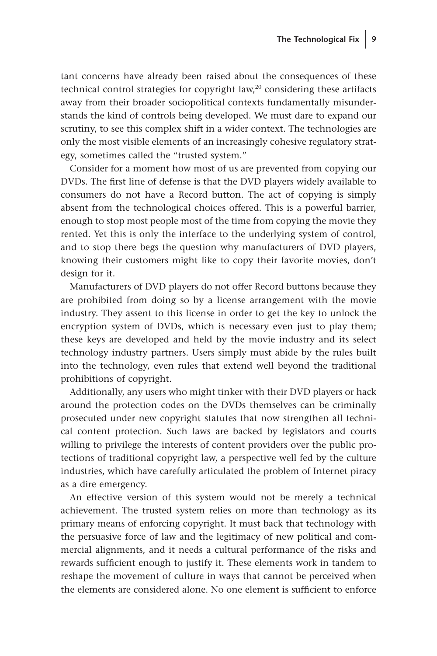tant concerns have already been raised about the consequences of these technical control strategies for copyright law, $^{20}$  considering these artifacts away from their broader sociopolitical contexts fundamentally misunderstands the kind of controls being developed. We must dare to expand our scrutiny, to see this complex shift in a wider context. The technologies are only the most visible elements of an increasingly cohesive regulatory strategy, sometimes called the "trusted system."

Consider for a moment how most of us are prevented from copying our DVDs. The first line of defense is that the DVD players widely available to consumers do not have a Record button. The act of copying is simply absent from the technological choices offered. This is a powerful barrier, enough to stop most people most of the time from copying the movie they rented. Yet this is only the interface to the underlying system of control, and to stop there begs the question why manufacturers of DVD players, knowing their customers might like to copy their favorite movies, don't design for it.

Manufacturers of DVD players do not offer Record buttons because they are prohibited from doing so by a license arrangement with the movie industry. They assent to this license in order to get the key to unlock the encryption system of DVDs, which is necessary even just to play them; these keys are developed and held by the movie industry and its select technology industry partners. Users simply must abide by the rules built into the technology, even rules that extend well beyond the traditional prohibitions of copyright.

Additionally, any users who might tinker with their DVD players or hack around the protection codes on the DVDs themselves can be criminally prosecuted under new copyright statutes that now strengthen all technical content protection. Such laws are backed by legislators and courts willing to privilege the interests of content providers over the public protections of traditional copyright law, a perspective well fed by the culture industries, which have carefully articulated the problem of Internet piracy as a dire emergency.

An effective version of this system would not be merely a technical achievement. The trusted system relies on more than technology as its primary means of enforcing copyright. It must back that technology with the persuasive force of law and the legitimacy of new political and commercial alignments, and it needs a cultural performance of the risks and rewards sufficient enough to justify it. These elements work in tandem to reshape the movement of culture in ways that cannot be perceived when the elements are considered alone. No one element is sufficient to enforce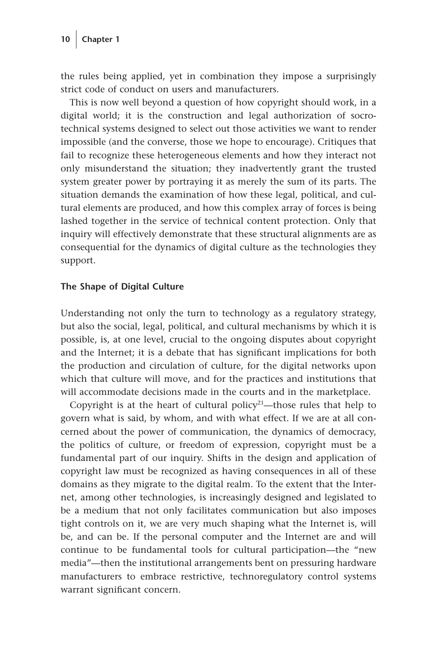the rules being applied, yet in combination they impose a surprisingly strict code of conduct on users and manufacturers.

This is now well beyond a question of how copyright should work, in a digital world; it is the construction and legal authorization of socrotechnical systems designed to select out those activities we want to render impossible (and the converse, those we hope to encourage). Critiques that fail to recognize these heterogeneous elements and how they interact not only misunderstand the situation; they inadvertently grant the trusted system greater power by portraying it as merely the sum of its parts. The situation demands the examination of how these legal, political, and cultural elements are produced, and how this complex array of forces is being lashed together in the service of technical content protection. Only that inquiry will effectively demonstrate that these structural alignments are as consequential for the dynamics of digital culture as the technologies they support.

## **The Shape of Digital Culture**

Understanding not only the turn to technology as a regulatory strategy, but also the social, legal, political, and cultural mechanisms by which it is possible, is, at one level, crucial to the ongoing disputes about copyright and the Internet; it is a debate that has significant implications for both the production and circulation of culture, for the digital networks upon which that culture will move, and for the practices and institutions that will accommodate decisions made in the courts and in the marketplace.

Copyright is at the heart of cultural policy<sup>21</sup>—those rules that help to govern what is said, by whom, and with what effect. If we are at all concerned about the power of communication, the dynamics of democracy, the politics of culture, or freedom of expression, copyright must be a fundamental part of our inquiry. Shifts in the design and application of copyright law must be recognized as having consequences in all of these domains as they migrate to the digital realm. To the extent that the Internet, among other technologies, is increasingly designed and legislated to be a medium that not only facilitates communication but also imposes tight controls on it, we are very much shaping what the Internet is, will be, and can be. If the personal computer and the Internet are and will continue to be fundamental tools for cultural participation—the "new media"—then the institutional arrangements bent on pressuring hardware manufacturers to embrace restrictive, technoregulatory control systems warrant significant concern.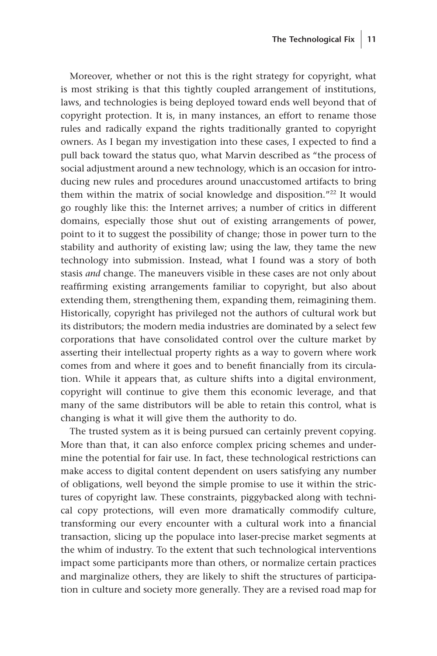Moreover, whether or not this is the right strategy for copyright, what is most striking is that this tightly coupled arrangement of institutions, laws, and technologies is being deployed toward ends well beyond that of copyright protection. It is, in many instances, an effort to rename those rules and radically expand the rights traditionally granted to copyright owners. As I began my investigation into these cases, I expected to find a pull back toward the status quo, what Marvin described as "the process of social adjustment around a new technology, which is an occasion for introducing new rules and procedures around unaccustomed artifacts to bring them within the matrix of social knowledge and disposition."<sup>22</sup> It would go roughly like this: the Internet arrives; a number of critics in different domains, especially those shut out of existing arrangements of power, point to it to suggest the possibility of change; those in power turn to the stability and authority of existing law; using the law, they tame the new technology into submission. Instead, what I found was a story of both stasis *and* change. The maneuvers visible in these cases are not only about reaffirming existing arrangements familiar to copyright, but also about extending them, strengthening them, expanding them, reimagining them. Historically, copyright has privileged not the authors of cultural work but its distributors; the modern media industries are dominated by a select few corporations that have consolidated control over the culture market by asserting their intellectual property rights as a way to govern where work comes from and where it goes and to benefit financially from its circulation. While it appears that, as culture shifts into a digital environment, copyright will continue to give them this economic leverage, and that many of the same distributors will be able to retain this control, what is changing is what it will give them the authority to do.

The trusted system as it is being pursued can certainly prevent copying. More than that, it can also enforce complex pricing schemes and undermine the potential for fair use. In fact, these technological restrictions can make access to digital content dependent on users satisfying any number of obligations, well beyond the simple promise to use it within the strictures of copyright law. These constraints, piggybacked along with technical copy protections, will even more dramatically commodify culture, transforming our every encounter with a cultural work into a financial transaction, slicing up the populace into laser-precise market segments at the whim of industry. To the extent that such technological interventions impact some participants more than others, or normalize certain practices and marginalize others, they are likely to shift the structures of participation in culture and society more generally. They are a revised road map for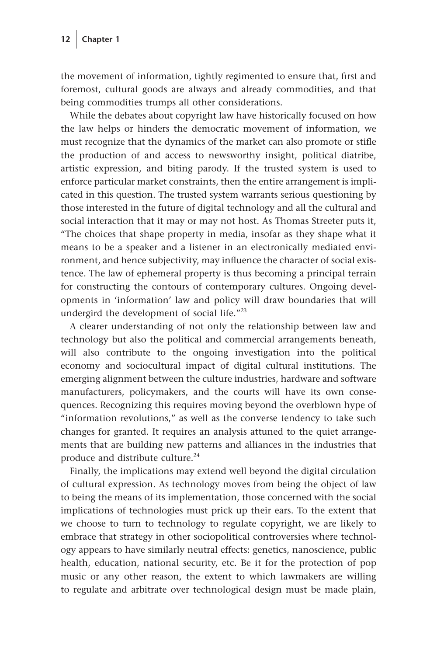the movement of information, tightly regimented to ensure that, first and foremost, cultural goods are always and already commodities, and that being commodities trumps all other considerations.

While the debates about copyright law have historically focused on how the law helps or hinders the democratic movement of information, we must recognize that the dynamics of the market can also promote or stifle the production of and access to newsworthy insight, political diatribe, artistic expression, and biting parody. If the trusted system is used to enforce particular market constraints, then the entire arrangement is implicated in this question. The trusted system warrants serious questioning by those interested in the future of digital technology and all the cultural and social interaction that it may or may not host. As Thomas Streeter puts it, "The choices that shape property in media, insofar as they shape what it means to be a speaker and a listener in an electronically mediated environment, and hence subjectivity, may influence the character of social existence. The law of ephemeral property is thus becoming a principal terrain for constructing the contours of contemporary cultures. Ongoing developments in 'information' law and policy will draw boundaries that will undergird the development of social life."23

A clearer understanding of not only the relationship between law and technology but also the political and commercial arrangements beneath, will also contribute to the ongoing investigation into the political economy and sociocultural impact of digital cultural institutions. The emerging alignment between the culture industries, hardware and software manufacturers, policymakers, and the courts will have its own consequences. Recognizing this requires moving beyond the overblown hype of "information revolutions," as well as the converse tendency to take such changes for granted. It requires an analysis attuned to the quiet arrangements that are building new patterns and alliances in the industries that produce and distribute culture.<sup>24</sup>

Finally, the implications may extend well beyond the digital circulation of cultural expression. As technology moves from being the object of law to being the means of its implementation, those concerned with the social implications of technologies must prick up their ears. To the extent that we choose to turn to technology to regulate copyright, we are likely to embrace that strategy in other sociopolitical controversies where technology appears to have similarly neutral effects: genetics, nanoscience, public health, education, national security, etc. Be it for the protection of pop music or any other reason, the extent to which lawmakers are willing to regulate and arbitrate over technological design must be made plain,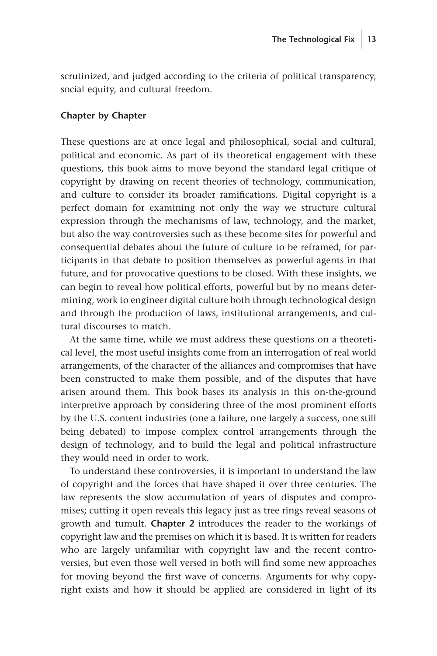scrutinized, and judged according to the criteria of political transparency, social equity, and cultural freedom.

## **Chapter by Chapter**

These questions are at once legal and philosophical, social and cultural, political and economic. As part of its theoretical engagement with these questions, this book aims to move beyond the standard legal critique of copyright by drawing on recent theories of technology, communication, and culture to consider its broader ramifications. Digital copyright is a perfect domain for examining not only the way we structure cultural expression through the mechanisms of law, technology, and the market, but also the way controversies such as these become sites for powerful and consequential debates about the future of culture to be reframed, for participants in that debate to position themselves as powerful agents in that future, and for provocative questions to be closed. With these insights, we can begin to reveal how political efforts, powerful but by no means determining, work to engineer digital culture both through technological design and through the production of laws, institutional arrangements, and cultural discourses to match.

At the same time, while we must address these questions on a theoretical level, the most useful insights come from an interrogation of real world arrangements, of the character of the alliances and compromises that have been constructed to make them possible, and of the disputes that have arisen around them. This book bases its analysis in this on-the-ground interpretive approach by considering three of the most prominent efforts by the U.S. content industries (one a failure, one largely a success, one still being debated) to impose complex control arrangements through the design of technology, and to build the legal and political infrastructure they would need in order to work.

To understand these controversies, it is important to understand the law of copyright and the forces that have shaped it over three centuries. The law represents the slow accumulation of years of disputes and compromises; cutting it open reveals this legacy just as tree rings reveal seasons of growth and tumult. **Chapter 2** introduces the reader to the workings of copyright law and the premises on which it is based. It is written for readers who are largely unfamiliar with copyright law and the recent controversies, but even those well versed in both will find some new approaches for moving beyond the first wave of concerns. Arguments for why copyright exists and how it should be applied are considered in light of its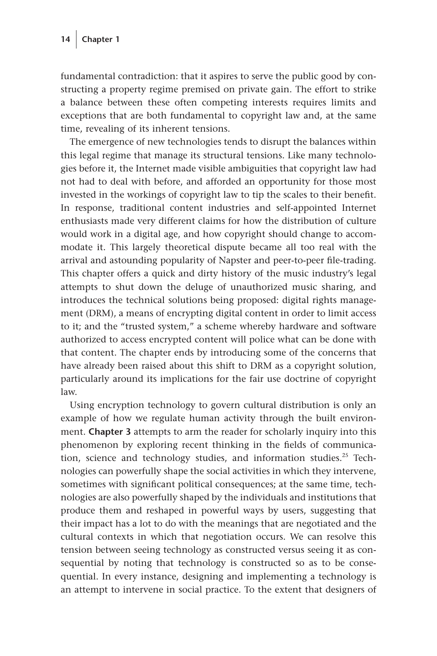fundamental contradiction: that it aspires to serve the public good by constructing a property regime premised on private gain. The effort to strike a balance between these often competing interests requires limits and exceptions that are both fundamental to copyright law and, at the same time, revealing of its inherent tensions.

The emergence of new technologies tends to disrupt the balances within this legal regime that manage its structural tensions. Like many technologies before it, the Internet made visible ambiguities that copyright law had not had to deal with before, and afforded an opportunity for those most invested in the workings of copyright law to tip the scales to their benefit. In response, traditional content industries and self-appointed Internet enthusiasts made very different claims for how the distribution of culture would work in a digital age, and how copyright should change to accommodate it. This largely theoretical dispute became all too real with the arrival and astounding popularity of Napster and peer-to-peer file-trading. This chapter offers a quick and dirty history of the music industry's legal attempts to shut down the deluge of unauthorized music sharing, and introduces the technical solutions being proposed: digital rights management (DRM), a means of encrypting digital content in order to limit access to it; and the "trusted system," a scheme whereby hardware and software authorized to access encrypted content will police what can be done with that content. The chapter ends by introducing some of the concerns that have already been raised about this shift to DRM as a copyright solution, particularly around its implications for the fair use doctrine of copyright law.

Using encryption technology to govern cultural distribution is only an example of how we regulate human activity through the built environment. **Chapter 3** attempts to arm the reader for scholarly inquiry into this phenomenon by exploring recent thinking in the fields of communication, science and technology studies, and information studies.<sup>25</sup> Technologies can powerfully shape the social activities in which they intervene, sometimes with significant political consequences; at the same time, technologies are also powerfully shaped by the individuals and institutions that produce them and reshaped in powerful ways by users, suggesting that their impact has a lot to do with the meanings that are negotiated and the cultural contexts in which that negotiation occurs. We can resolve this tension between seeing technology as constructed versus seeing it as consequential by noting that technology is constructed so as to be consequential. In every instance, designing and implementing a technology is an attempt to intervene in social practice. To the extent that designers of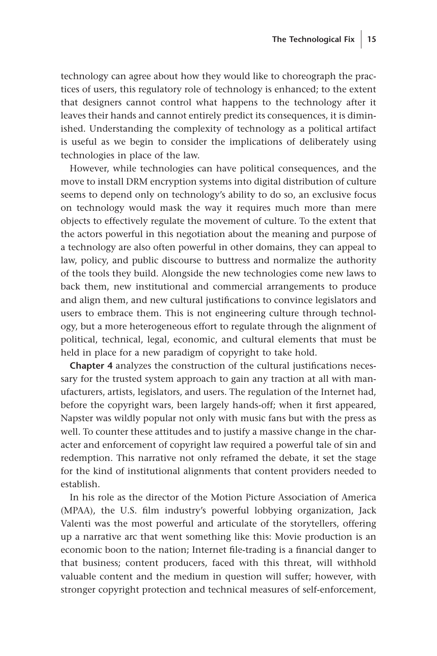technology can agree about how they would like to choreograph the practices of users, this regulatory role of technology is enhanced; to the extent that designers cannot control what happens to the technology after it leaves their hands and cannot entirely predict its consequences, it is diminished. Understanding the complexity of technology as a political artifact is useful as we begin to consider the implications of deliberately using technologies in place of the law.

However, while technologies can have political consequences, and the move to install DRM encryption systems into digital distribution of culture seems to depend only on technology's ability to do so, an exclusive focus on technology would mask the way it requires much more than mere objects to effectively regulate the movement of culture. To the extent that the actors powerful in this negotiation about the meaning and purpose of a technology are also often powerful in other domains, they can appeal to law, policy, and public discourse to buttress and normalize the authority of the tools they build. Alongside the new technologies come new laws to back them, new institutional and commercial arrangements to produce and align them, and new cultural justifications to convince legislators and users to embrace them. This is not engineering culture through technology, but a more heterogeneous effort to regulate through the alignment of political, technical, legal, economic, and cultural elements that must be held in place for a new paradigm of copyright to take hold.

**Chapter 4** analyzes the construction of the cultural justifications necessary for the trusted system approach to gain any traction at all with manufacturers, artists, legislators, and users. The regulation of the Internet had, before the copyright wars, been largely hands-off; when it first appeared, Napster was wildly popular not only with music fans but with the press as well. To counter these attitudes and to justify a massive change in the character and enforcement of copyright law required a powerful tale of sin and redemption. This narrative not only reframed the debate, it set the stage for the kind of institutional alignments that content providers needed to establish.

In his role as the director of the Motion Picture Association of America (MPAA), the U.S. film industry's powerful lobbying organization, Jack Valenti was the most powerful and articulate of the storytellers, offering up a narrative arc that went something like this: Movie production is an economic boon to the nation; Internet file-trading is a financial danger to that business; content producers, faced with this threat, will withhold valuable content and the medium in question will suffer; however, with stronger copyright protection and technical measures of self-enforcement,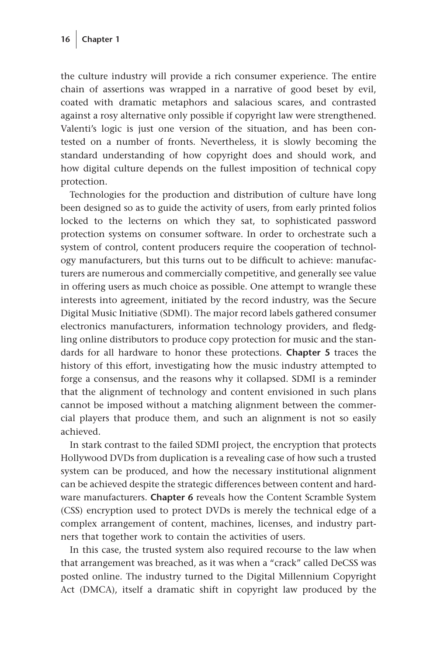**16 Chapter 1**

the culture industry will provide a rich consumer experience. The entire chain of assertions was wrapped in a narrative of good beset by evil, coated with dramatic metaphors and salacious scares, and contrasted against a rosy alternative only possible if copyright law were strengthened. Valenti's logic is just one version of the situation, and has been contested on a number of fronts. Nevertheless, it is slowly becoming the standard understanding of how copyright does and should work, and how digital culture depends on the fullest imposition of technical copy protection.

Technologies for the production and distribution of culture have long been designed so as to guide the activity of users, from early printed folios locked to the lecterns on which they sat, to sophisticated password protection systems on consumer software. In order to orchestrate such a system of control, content producers require the cooperation of technology manufacturers, but this turns out to be difficult to achieve: manufacturers are numerous and commercially competitive, and generally see value in offering users as much choice as possible. One attempt to wrangle these interests into agreement, initiated by the record industry, was the Secure Digital Music Initiative (SDMI). The major record labels gathered consumer electronics manufacturers, information technology providers, and fledgling online distributors to produce copy protection for music and the standards for all hardware to honor these protections. **Chapter 5** traces the history of this effort, investigating how the music industry attempted to forge a consensus, and the reasons why it collapsed. SDMI is a reminder that the alignment of technology and content envisioned in such plans cannot be imposed without a matching alignment between the commercial players that produce them, and such an alignment is not so easily achieved.

In stark contrast to the failed SDMI project, the encryption that protects Hollywood DVDs from duplication is a revealing case of how such a trusted system can be produced, and how the necessary institutional alignment can be achieved despite the strategic differences between content and hardware manufacturers. **Chapter 6** reveals how the Content Scramble System (CSS) encryption used to protect DVDs is merely the technical edge of a complex arrangement of content, machines, licenses, and industry partners that together work to contain the activities of users.

In this case, the trusted system also required recourse to the law when that arrangement was breached, as it was when a "crack" called DeCSS was posted online. The industry turned to the Digital Millennium Copyright Act (DMCA), itself a dramatic shift in copyright law produced by the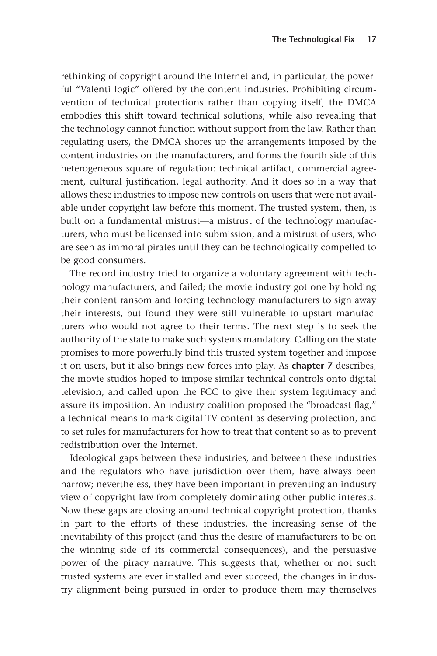rethinking of copyright around the Internet and, in particular, the powerful "Valenti logic" offered by the content industries. Prohibiting circumvention of technical protections rather than copying itself, the DMCA embodies this shift toward technical solutions, while also revealing that the technology cannot function without support from the law. Rather than regulating users, the DMCA shores up the arrangements imposed by the content industries on the manufacturers, and forms the fourth side of this heterogeneous square of regulation: technical artifact, commercial agreement, cultural justification, legal authority. And it does so in a way that allows these industries to impose new controls on users that were not available under copyright law before this moment. The trusted system, then, is built on a fundamental mistrust—a mistrust of the technology manufacturers, who must be licensed into submission, and a mistrust of users, who are seen as immoral pirates until they can be technologically compelled to be good consumers.

The record industry tried to organize a voluntary agreement with technology manufacturers, and failed; the movie industry got one by holding their content ransom and forcing technology manufacturers to sign away their interests, but found they were still vulnerable to upstart manufacturers who would not agree to their terms. The next step is to seek the authority of the state to make such systems mandatory. Calling on the state promises to more powerfully bind this trusted system together and impose it on users, but it also brings new forces into play. As **chapter 7** describes, the movie studios hoped to impose similar technical controls onto digital television, and called upon the FCC to give their system legitimacy and assure its imposition. An industry coalition proposed the "broadcast flag," a technical means to mark digital TV content as deserving protection, and to set rules for manufacturers for how to treat that content so as to prevent redistribution over the Internet.

Ideological gaps between these industries, and between these industries and the regulators who have jurisdiction over them, have always been narrow; nevertheless, they have been important in preventing an industry view of copyright law from completely dominating other public interests. Now these gaps are closing around technical copyright protection, thanks in part to the efforts of these industries, the increasing sense of the inevitability of this project (and thus the desire of manufacturers to be on the winning side of its commercial consequences), and the persuasive power of the piracy narrative. This suggests that, whether or not such trusted systems are ever installed and ever succeed, the changes in industry alignment being pursued in order to produce them may themselves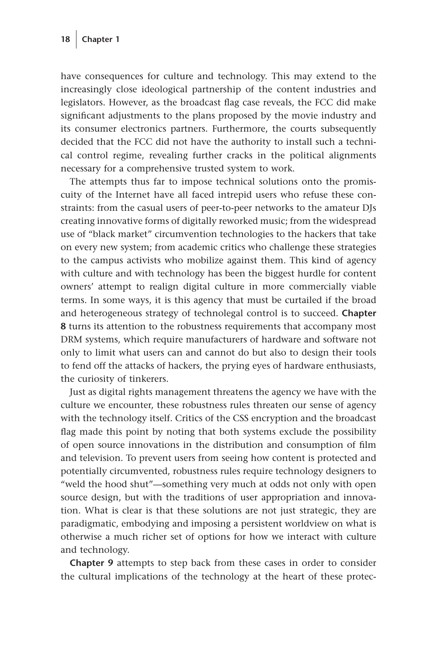have consequences for culture and technology. This may extend to the increasingly close ideological partnership of the content industries and legislators. However, as the broadcast flag case reveals, the FCC did make significant adjustments to the plans proposed by the movie industry and its consumer electronics partners. Furthermore, the courts subsequently decided that the FCC did not have the authority to install such a technical control regime, revealing further cracks in the political alignments necessary for a comprehensive trusted system to work.

The attempts thus far to impose technical solutions onto the promiscuity of the Internet have all faced intrepid users who refuse these constraints: from the casual users of peer-to-peer networks to the amateur DJs creating innovative forms of digitally reworked music; from the widespread use of "black market" circumvention technologies to the hackers that take on every new system; from academic critics who challenge these strategies to the campus activists who mobilize against them. This kind of agency with culture and with technology has been the biggest hurdle for content owners' attempt to realign digital culture in more commercially viable terms. In some ways, it is this agency that must be curtailed if the broad and heterogeneous strategy of technolegal control is to succeed. **Chapter 8** turns its attention to the robustness requirements that accompany most DRM systems, which require manufacturers of hardware and software not only to limit what users can and cannot do but also to design their tools to fend off the attacks of hackers, the prying eyes of hardware enthusiasts, the curiosity of tinkerers.

Just as digital rights management threatens the agency we have with the culture we encounter, these robustness rules threaten our sense of agency with the technology itself. Critics of the CSS encryption and the broadcast flag made this point by noting that both systems exclude the possibility of open source innovations in the distribution and consumption of film and television. To prevent users from seeing how content is protected and potentially circumvented, robustness rules require technology designers to "weld the hood shut"—something very much at odds not only with open source design, but with the traditions of user appropriation and innovation. What is clear is that these solutions are not just strategic, they are paradigmatic, embodying and imposing a persistent worldview on what is otherwise a much richer set of options for how we interact with culture and technology.

**Chapter 9** attempts to step back from these cases in order to consider the cultural implications of the technology at the heart of these protec-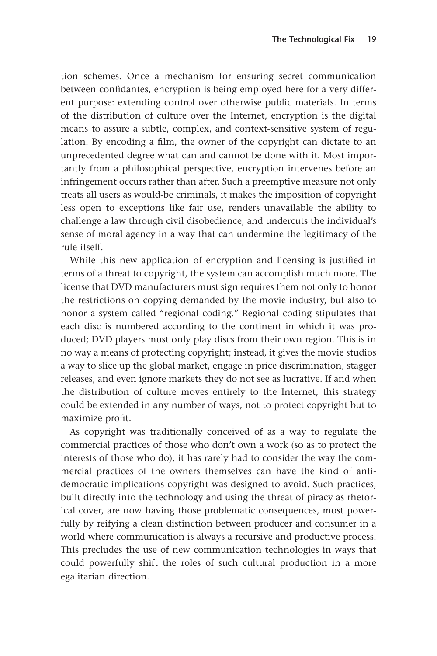tion schemes. Once a mechanism for ensuring secret communication between confidantes, encryption is being employed here for a very different purpose: extending control over otherwise public materials. In terms of the distribution of culture over the Internet, encryption is the digital means to assure a subtle, complex, and context-sensitive system of regulation. By encoding a film, the owner of the copyright can dictate to an unprecedented degree what can and cannot be done with it. Most importantly from a philosophical perspective, encryption intervenes before an infringement occurs rather than after. Such a preemptive measure not only treats all users as would-be criminals, it makes the imposition of copyright less open to exceptions like fair use, renders unavailable the ability to challenge a law through civil disobedience, and undercuts the individual's sense of moral agency in a way that can undermine the legitimacy of the rule itself.

While this new application of encryption and licensing is justified in terms of a threat to copyright, the system can accomplish much more. The license that DVD manufacturers must sign requires them not only to honor the restrictions on copying demanded by the movie industry, but also to honor a system called "regional coding." Regional coding stipulates that each disc is numbered according to the continent in which it was produced; DVD players must only play discs from their own region. This is in no way a means of protecting copyright; instead, it gives the movie studios a way to slice up the global market, engage in price discrimination, stagger releases, and even ignore markets they do not see as lucrative. If and when the distribution of culture moves entirely to the Internet, this strategy could be extended in any number of ways, not to protect copyright but to maximize profit.

As copyright was traditionally conceived of as a way to regulate the commercial practices of those who don't own a work (so as to protect the interests of those who do), it has rarely had to consider the way the commercial practices of the owners themselves can have the kind of antidemocratic implications copyright was designed to avoid. Such practices, built directly into the technology and using the threat of piracy as rhetorical cover, are now having those problematic consequences, most powerfully by reifying a clean distinction between producer and consumer in a world where communication is always a recursive and productive process. This precludes the use of new communication technologies in ways that could powerfully shift the roles of such cultural production in a more egalitarian direction.